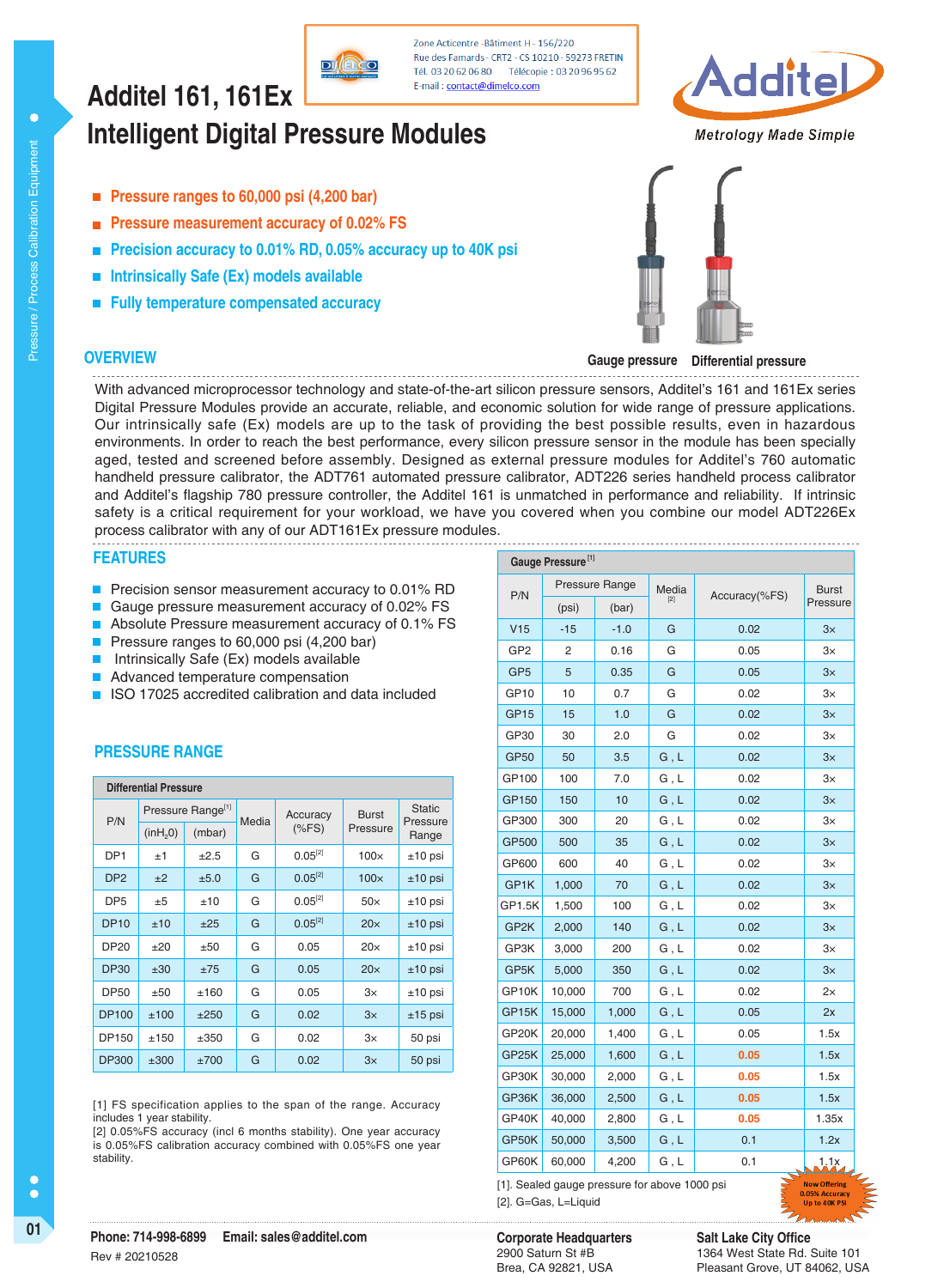# **Intelligent Digital Pressure Modules Additel 161, 161Ex**

- **Pressure ranges to 60,000 psi (4,200 bar)**
- **Pressure measurement accuracy of 0.02% FS**
- **Precision accuracy to 0.01% RD, 0.05% accuracy up to 40K psi**
- **Intrinsically Safe (Ex) models available**
- **Fully temperature compensated accuracy**

## **OVERVIEW**



**Gauge pressure Differential pressure**

With advanced microprocessor technology and state-of-the-art silicon pressure sensors, Additel's 161 and 161Ex series Digital Pressure Modules provide an accurate, reliable, and economic solution for wide range of pressure applications. Our intrinsically safe (Ex) models are up to the task of providing the best possible results, even in hazardous environments. In order to reach the best performance, every silicon pressure sensor in the module has been specially aged, tested and screened before assembly. Designed as external pressure modules for Additel's 760 automatic handheld pressure calibrator, the ADT761 automated pressure calibrator, ADT226 series handheld process calibrator and Additel's flagship 780 pressure controller, the Additel 161 is unmatched in performance and reliability. If intrinsic safety is a critical requirement for your workload, we have you covered when you combine our model ADT226Ex process calibrator with any of our ADT161Ex pressure modules.

Zone Acticentre -Bâtiment H - 156/220 Rue des Famards - CRT2 - CS 10210 - 59273 FRETIN

E-mail: contact@dimelco.com

#### **FEATURES**

- **Precision sensor measurement accuracy to 0.01% RD**
- Gauge pressure measurement accuracy of 0.02% FS
- Absolute Pressure measurement accuracy of 0.1% FS
- Pressure ranges to 60,000 psi (4,200 bar)
- Intrinsically Safe (Ex) models available
- Advanced temperature compensation
- ISO 17025 accredited calibration and data included

## **PRESSURE RANGE**

| <b>Differential Pressure</b> |                      |                               |       |                     |                          |                   |  |  |
|------------------------------|----------------------|-------------------------------|-------|---------------------|--------------------------|-------------------|--|--|
| P/N                          |                      | Pressure Range <sup>[1]</sup> | Media | Accuracy<br>$(*FS)$ | <b>Burst</b><br>Pressure | <b>Static</b>     |  |  |
|                              | (inH <sub>2</sub> 0) | (mbar)                        |       |                     |                          | Pressure<br>Range |  |  |
| DP <sub>1</sub>              | $+1$                 | $+2.5$                        | G     | $0.05^{[2]}$        | $100\times$              | $±10$ psi         |  |  |
| DP <sub>2</sub>              | ±2                   | ±5.0                          | G     | $0.05^{[2]}$        | $100\times$              | $±10$ psi         |  |  |
| DP <sub>5</sub>              | ±5                   | ±10                           | G     | $0.05^{[2]}$        | $50\times$               | $±10$ psi         |  |  |
| <b>DP10</b>                  | ±10                  | ±25                           | G     | $0.05^{[2]}$        | 20x                      | $±10$ psi         |  |  |
| DP20                         | $+20$                | ±50                           | G     | 0.05                | $20\times$               | $±10$ psi         |  |  |
| <b>DP30</b>                  | ±30                  | ±75                           | G     | 0.05                | $20\times$               | $±10$ psi         |  |  |
| DP50                         | ±50                  | ±160                          | G     | 0.05                | $3\times$                | $±10$ psi         |  |  |
| <b>DP100</b>                 | ±100                 | $+250$                        | G     | 0.02                | 3x                       | $±15$ psi         |  |  |
| DP150                        | ±150                 | $+350$                        | G     | 0.02                | 3×                       | 50 psi            |  |  |
| <b>DP300</b>                 | ±300                 | ±700                          | G     | 0.02                | 3x                       | 50 psi            |  |  |

[1] FS specification applies to the span of the range. Accuracy includes 1 year stability.

[2] 0.05%FS accuracy (incl 6 months stability). One year accuracy is 0.05%FS calibration accuracy combined with 0.05%FS one year stability.

| Gauge Pressure <sup>[1]</sup>                                        |        |                |                |               |              |  |  |
|----------------------------------------------------------------------|--------|----------------|----------------|---------------|--------------|--|--|
| P/N                                                                  |        | Pressure Range | Media<br>$[2]$ | Accuracy(%FS) | <b>Burst</b> |  |  |
|                                                                      | (psi)  | (bar)          |                |               | Pressure     |  |  |
| V15                                                                  | $-15$  | $-1.0$         | G              | 0.02          | 3x           |  |  |
| GP <sub>2</sub>                                                      | 2      | 0.16           | G              | 0.05          | $3\times$    |  |  |
| GP <sub>5</sub>                                                      | 5      | 0.35           | G              | 0.05          | 3x           |  |  |
| GP <sub>10</sub>                                                     | 10     | 0.7            | G              | 0.02          | $3\times$    |  |  |
| <b>GP15</b>                                                          | 15     | 1.0            | G              | 0.02          | 3x           |  |  |
| GP30                                                                 | 30     | 2.0            | G              | 0.02          | З×           |  |  |
| <b>GP50</b>                                                          | 50     | 3.5            | G, L           | 0.02          | 3x           |  |  |
| GP100                                                                | 100    | 7.0            | G, L           | 0.02          | $3\times$    |  |  |
| GP150                                                                | 150    | 10             | G, L           | 0.02          | 3x           |  |  |
| GP300                                                                | 300    | 20             | G, L           | 0.02          | З×           |  |  |
| GP500                                                                | 500    | 35             | G, L           | 0.02          | 3x           |  |  |
| GP600                                                                | 600    | 40             | G, L           | 0.02          | $3\times$    |  |  |
| GP1K                                                                 | 1,000  | 70             | G, L           | 0.02          | 3x           |  |  |
| GP1.5K                                                               | 1,500  | 100            | G, L           | 0.02          | $3\times$    |  |  |
| GP <sub>2</sub> K                                                    | 2,000  | 140            | G, L           | 0.02          | 3x           |  |  |
| GP3K                                                                 | 3,000  | 200            | G, L           | 0.02          | $3\times$    |  |  |
| GP5K                                                                 | 5,000  | 350            | G, L           | 0.02          | $3\times$    |  |  |
| GP10K                                                                | 10,000 | 700            | G, L           | 0.02          | $2\times$    |  |  |
| GP15K                                                                | 15,000 | 1,000          | G, L           | 0.05          | 2x           |  |  |
| GP20K                                                                | 20,000 | 1,400          | G, L           | 0.05          | 1.5x         |  |  |
| GP25K                                                                | 25,000 | 1,600          | G, L           | 0.05          | 1.5x         |  |  |
| GP30K                                                                | 30,000 | 2,000          | G, L           | 0.05          | 1.5x         |  |  |
| GP36K                                                                | 36,000 | 2,500          | G, L           | 0.05          | 1.5x         |  |  |
| GP40K                                                                | 40,000 | 2,800          | G, L           | 0.05          | 1.35x        |  |  |
| GP50K                                                                | 50,000 | 3,500          | G, L           | 0.1           | 1.2x         |  |  |
| GP60K                                                                | 60,000 | 4,200          | G, L           | 0.1           | 1.1x         |  |  |
| <b>Now Offering</b><br>[1]. Sealed gauge pressure for above 1000 psi |        |                |                |               |              |  |  |

[2]. G=Gas, L=Liquid

**Metrology Made Simple** 

ddite

Rev # 20210528

## 2900 Saturn St #B Brea, CA 92821, USA

**Salt Lake City Office** 1364 West State Rd. Suite 101 Pleasant Grove, UT 84062, USA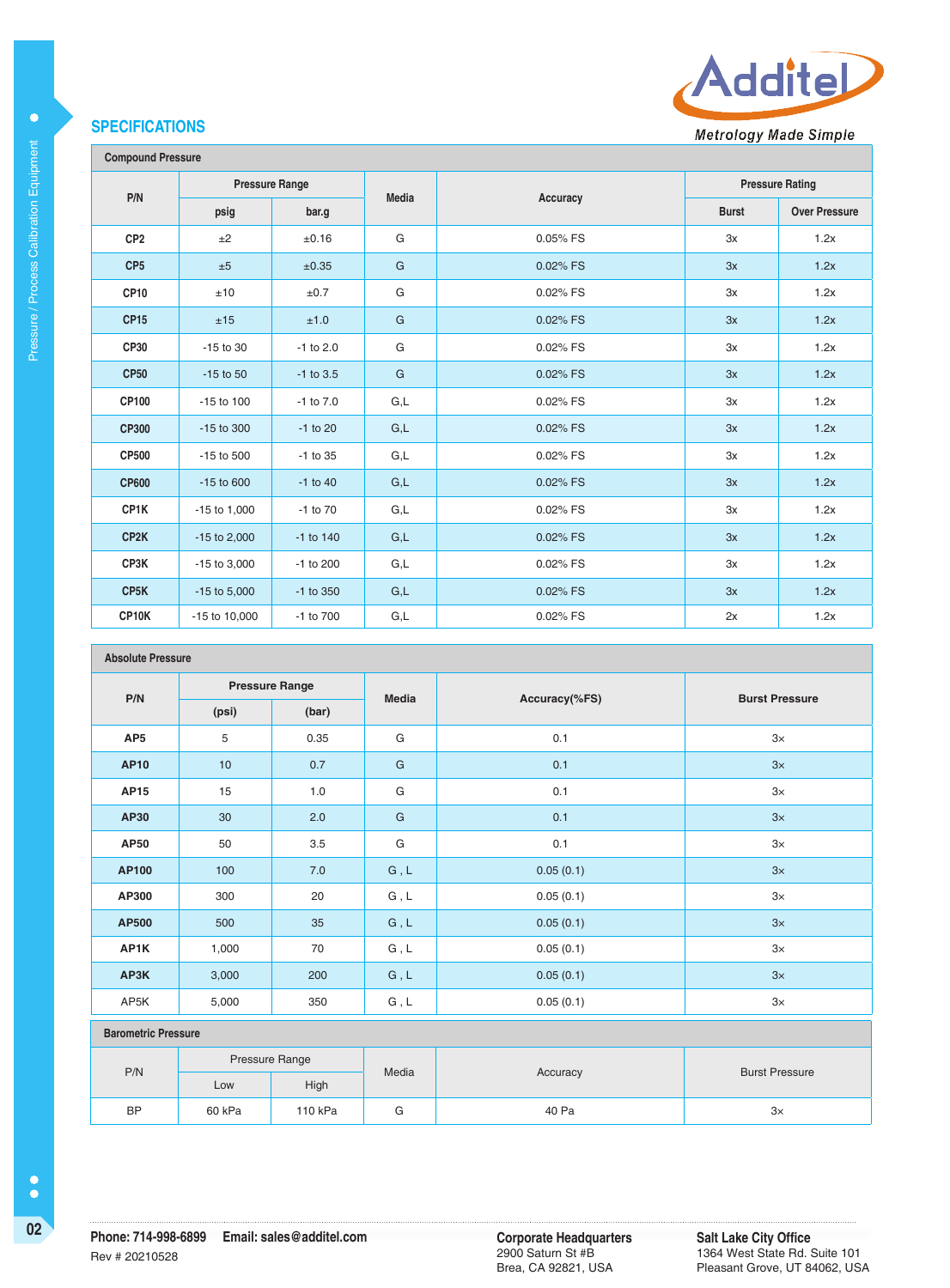## **SPECIFICATIONS**

Pressure / Process Calibration Equipment

Pressure / Process Calibration Equipment

 $\bullet$ 



Additel

**Metrology Made Simple** 

| <b>Compound Pressure</b> |                       |               |                         |          |                        |                      |  |
|--------------------------|-----------------------|---------------|-------------------------|----------|------------------------|----------------------|--|
|                          | <b>Pressure Range</b> |               |                         |          | <b>Pressure Rating</b> |                      |  |
| P/N                      | psig                  | bar.g         | <b>Media</b>            | Accuracy | <b>Burst</b>           | <b>Over Pressure</b> |  |
| CP <sub>2</sub>          | ±2                    | ±0.16         | G                       | 0.05% FS | 3x                     | 1.2x                 |  |
| CP <sub>5</sub>          | ±5                    | ±0.35         | G                       | 0.02% FS | 3x                     | 1.2x                 |  |
| CP <sub>10</sub>         | ±10                   | ±0.7          | G                       | 0.02% FS | 3x                     | 1.2x                 |  |
| <b>CP15</b>              | ±15                   | ±1.0          | $\mathsf{G}$            | 0.02% FS | 3x                     | 1.2x                 |  |
| CP30                     | $-15$ to 30           | $-1$ to 2.0   | G                       | 0.02% FS | 3x                     | 1.2x                 |  |
| <b>CP50</b>              | $-15$ to $50$         | $-1$ to 3.5   | G                       | 0.02% FS | 3x                     | 1.2x                 |  |
| CP100                    | $-15$ to $100$        | $-1$ to $7.0$ | G,L                     | 0.02% FS | 3x                     | 1.2x                 |  |
| <b>CP300</b>             | $-15$ to 300          | $-1$ to 20    | $\mathsf{G},\mathsf{L}$ | 0.02% FS | 3x                     | 1.2x                 |  |
| <b>CP500</b>             | -15 to 500            | -1 to 35      | G,L                     | 0.02% FS | 3x                     | 1.2x                 |  |
| <b>CP600</b>             | $-15$ to $600$        | $-1$ to $40$  | G,L                     | 0.02% FS | 3x                     | 1.2x                 |  |
| CP1K                     | $-15$ to $1,000$      | $-1$ to $70$  | G,L                     | 0.02% FS | 3x                     | 1.2x                 |  |
| CP <sub>2</sub> K        | $-15$ to 2,000        | $-1$ to $140$ | G,L                     | 0.02% FS | 3x                     | 1.2x                 |  |
| CP3K                     | $-15$ to $3,000$      | -1 to 200     | G,L                     | 0.02% FS | 3x                     | 1.2x                 |  |
| CP <sub>5</sub> K        | $-15$ to $5,000$      | $-1$ to 350   | G,L                     | 0.02% FS | 3x                     | 1.2x                 |  |
| CP10K                    | -15 to 10,000         | -1 to 700     | G,L                     | 0.02% FS | 2x                     | 1.2x                 |  |

#### **Absolute Pressure**

| P/N<br>(psi)               | <b>Pressure Range</b> |       | Media                         |               |                       |  |
|----------------------------|-----------------------|-------|-------------------------------|---------------|-----------------------|--|
|                            |                       | (bar) |                               | Accuracy(%FS) | <b>Burst Pressure</b> |  |
| AP <sub>5</sub>            | 5                     | 0.35  | G                             | 0.1           | 3x                    |  |
| <b>AP10</b>                | 10                    | 0.7   | G                             | 0.1           | 3x                    |  |
| <b>AP15</b>                | 15                    | 1.0   | G                             | 0.1           | 3x                    |  |
| AP30                       | 30                    | 2.0   | G                             | 0.1           | 3x                    |  |
| AP50                       | 50                    | 3.5   | G                             | 0.1           | 3x                    |  |
| AP100                      | 100                   | 7.0   | $G$ , $\mathsf{L}$            | 0.05(0.1)     | 3x                    |  |
| AP300                      | 300                   | 20    | ${\mathsf G}$ , ${\mathsf L}$ | 0.05(0.1)     | $3\times$             |  |
| AP500                      | 500                   | 35    | ${\mathsf G}$ , ${\mathsf L}$ | 0.05(0.1)     | 3x                    |  |
| AP1K                       | 1,000                 | 70    | ${\mathsf G}$ , ${\mathsf L}$ | 0.05(0.1)     | 3x                    |  |
| AP3K                       | 3,000                 | 200   | ${\sf G}$ , ${\sf L}$         | 0.05(0.1)     | 3x                    |  |
| AP5K                       | 5,000                 | 350   | G, L                          | 0.05(0.1)     | $3\times$             |  |
| <b>Barometric Pressure</b> |                       |       |                               |               |                       |  |
| P/N                        | Pressure Range        |       | Media                         |               |                       |  |
|                            | Low                   | High  |                               | Accuracy      | <b>Burst Pressure</b> |  |

BP 60 kPa 110 kPa G 40 Pa 3×

2900 Saturn St #B Brea, CA 92821, USA **Salt Lake City Office** 1364 West State Rd. Suite 101 Pleasant Grove, UT 84062, USA